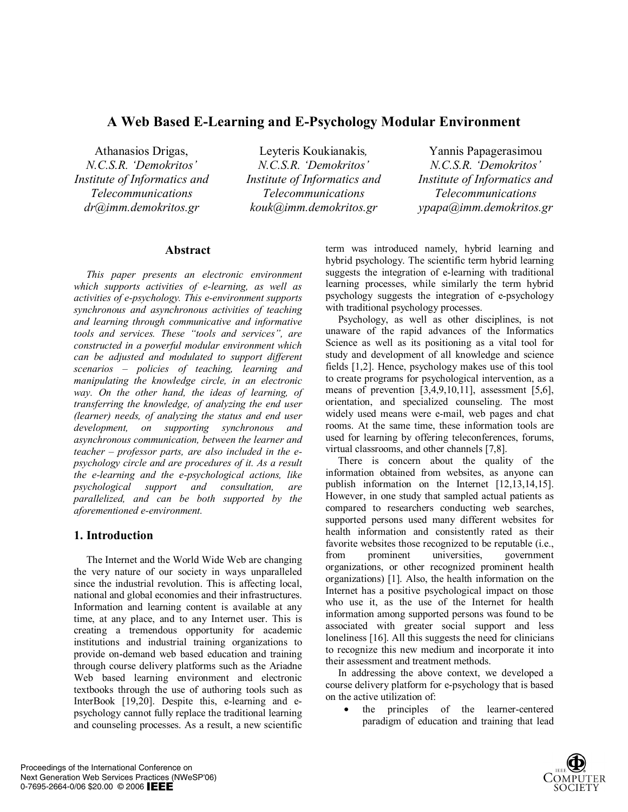# **A Web Based E-Learning and E-Psychology Modular Environment**

Athanasios Drigas, *N.C.S.R. 'Demokritos' Institute of Informatics and Telecommunications dr@imm.demokritos.gr* 

Leyteris Koukianakis*, N.C.S.R. 'Demokritos' Institute of Informatics and Telecommunications kouk@imm.demokritos.gr* 

Yannis Papagerasimou *N.C.S.R. 'Demokritos' Institute of Informatics and Telecommunications ypapa@imm.demokritos.gr* 

#### **Abstract**

*This paper presents an electronic environment which supports activities of e-learning, as well as activities of e-psychology. This e-environment supports synchronous and asynchronous activities of teaching and learning through communicative and informative tools and services. These "tools and services", are constructed in a powerful modular environment which can be adjusted and modulated to support different scenarios – policies of teaching, learning and manipulating the knowledge circle, in an electronic way. On the other hand, the ideas of learning, of transferring the knowledge, of analyzing the end user (learner) needs, of analyzing the status and end user development, on supporting synchronous and asynchronous communication, between the learner and teacher – professor parts, are also included in the epsychology circle and are procedures of it. As a result the e-learning and the e-psychological actions, like psychological support and consultation, are parallelized, and can be both supported by the aforementioned e-environment.* 

## **1. Introduction**

The Internet and the World Wide Web are changing the very nature of our society in ways unparalleled since the industrial revolution. This is affecting local, national and global economies and their infrastructures. Information and learning content is available at any time, at any place, and to any Internet user. This is creating a tremendous opportunity for academic institutions and industrial training organizations to provide on-demand web based education and training through course delivery platforms such as the Ariadne Web based learning environment and electronic textbooks through the use of authoring tools such as InterBook [19,20]. Despite this, e-learning and epsychology cannot fully replace the traditional learning and counseling processes. As a result, a new scientific

term was introduced namely, hybrid learning and hybrid psychology. The scientific term hybrid learning suggests the integration of e-learning with traditional learning processes, while similarly the term hybrid psychology suggests the integration of e-psychology with traditional psychology processes.

Psychology, as well as other disciplines, is not unaware of the rapid advances of the Informatics Science as well as its positioning as a vital tool for study and development of all knowledge and science fields [1,2]. Hence, psychology makes use of this tool to create programs for psychological intervention, as a means of prevention  $[3,4,9,10,11]$ , assessment  $[5,6]$ , orientation, and specialized counseling. The most widely used means were e-mail, web pages and chat rooms. At the same time, these information tools are used for learning by offering teleconferences, forums, virtual classrooms, and other channels [7,8].

There is concern about the quality of the information obtained from websites, as anyone can publish information on the Internet [12,13,14,15]. However, in one study that sampled actual patients as compared to researchers conducting web searches, supported persons used many different websites for health information and consistently rated as their favorite websites those recognized to be reputable (i.e., from prominent universities, government organizations, or other recognized prominent health organizations) [1]. Also, the health information on the Internet has a positive psychological impact on those who use it, as the use of the Internet for health information among supported persons was found to be associated with greater social support and less loneliness [16]. All this suggests the need for clinicians to recognize this new medium and incorporate it into their assessment and treatment methods.

In addressing the above context, we developed a course delivery platform for e-psychology that is based on the active utilization of:

the principles of the learner-centered paradigm of education and training that lead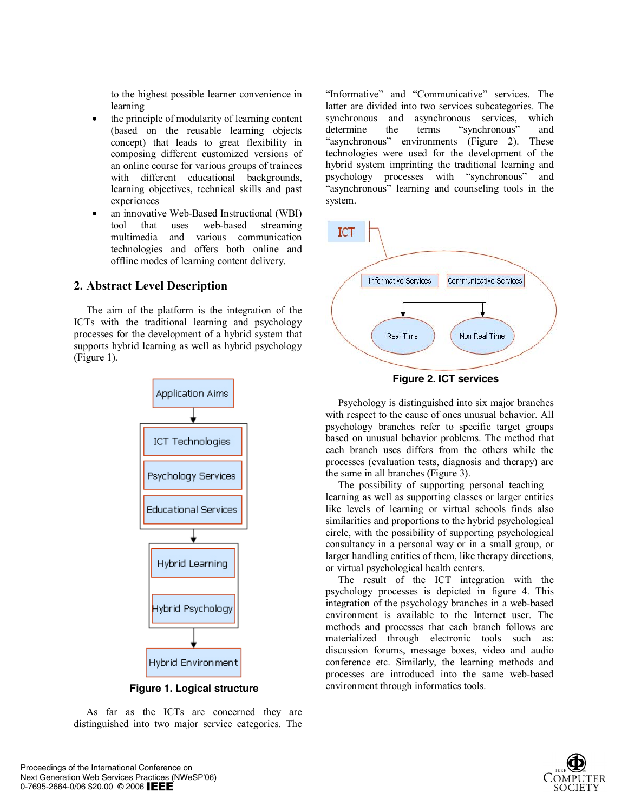to the highest possible learner convenience in learning

- the principle of modularity of learning content (based on the reusable learning objects concept) that leads to great flexibility in composing different customized versions of an online course for various groups of trainees with different educational backgrounds, learning objectives, technical skills and past experiences
- an innovative Web-Based Instructional (WBI) tool that uses web-based streaming multimedia and various communication technologies and offers both online and offline modes of learning content delivery.

#### **2. Abstract Level Description**

The aim of the platform is the integration of the ICTs with the traditional learning and psychology processes for the development of a hybrid system that supports hybrid learning as well as hybrid psychology (Figure 1).



**Figure 1. Logical structure** 

As far as the ICTs are concerned they are distinguished into two major service categories. The "Informative" and "Communicative" services. The latter are divided into two services subcategories. The synchronous and asynchronous services, which determine the terms "synchronous" and "asynchronous" environments (Figure 2). These technologies were used for the development of the hybrid system imprinting the traditional learning and psychology processes with "synchronous" and "asynchronous" learning and counseling tools in the system.



**Figure 2. ICT services** 

Psychology is distinguished into six major branches with respect to the cause of ones unusual behavior. All psychology branches refer to specific target groups based on unusual behavior problems. The method that each branch uses differs from the others while the processes (evaluation tests, diagnosis and therapy) are the same in all branches (Figure 3).

The possibility of supporting personal teaching – learning as well as supporting classes or larger entities like levels of learning or virtual schools finds also similarities and proportions to the hybrid psychological circle, with the possibility of supporting psychological consultancy in a personal way or in a small group, or larger handling entities of them, like therapy directions, or virtual psychological health centers.

The result of the ICT integration with the psychology processes is depicted in figure 4. This integration of the psychology branches in a web-based environment is available to the Internet user. The methods and processes that each branch follows are materialized through electronic tools such as: discussion forums, message boxes, video and audio conference etc. Similarly, the learning methods and processes are introduced into the same web-based environment through informatics tools.

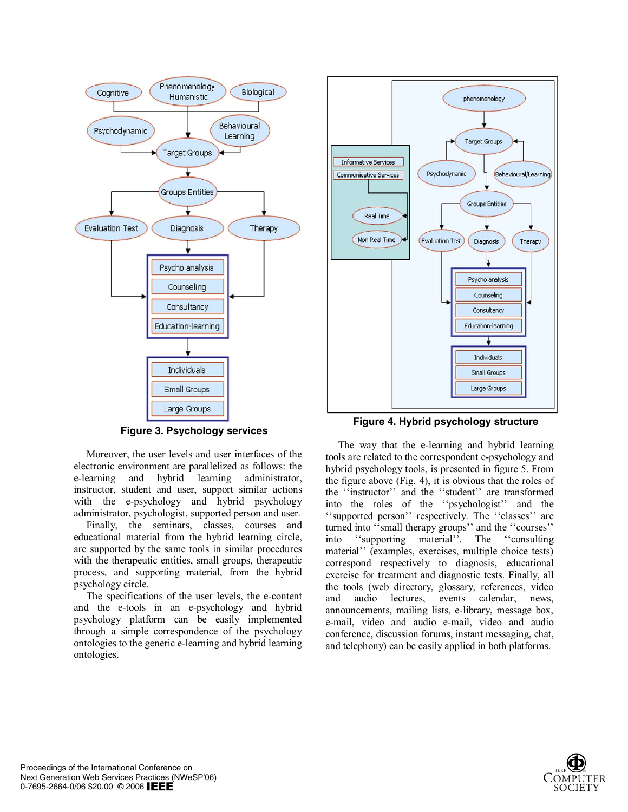

**Figure 3. Psychology services** 

Moreover, the user levels and user interfaces of the electronic environment are parallelized as follows: the e-learning and hybrid learning administrator, instructor, student and user, support similar actions with the e-psychology and hybrid psychology administrator, psychologist, supported person and user.

Finally, the seminars, classes, courses and educational material from the hybrid learning circle, are supported by the same tools in similar procedures with the therapeutic entities, small groups, therapeutic process, and supporting material, from the hybrid psychology circle.

The specifications of the user levels, the e-content and the e-tools in an e-psychology and hybrid psychology platform can be easily implemented through a simple correspondence of the psychology ontologies to the generic e-learning and hybrid learning ontologies.



**Figure 4. Hybrid psychology structure** 

The way that the e-learning and hybrid learning tools are related to the correspondent e-psychology and hybrid psychology tools, is presented in figure 5. From the figure above (Fig. 4), it is obvious that the roles of the ''instructor'' and the ''student'' are transformed into the roles of the ''psychologist'' and the ''supported person'' respectively. The ''classes'' are turned into ''small therapy groups'' and the ''courses'' into ''supporting material''. The ''consulting material'' (examples, exercises, multiple choice tests) correspond respectively to diagnosis, educational exercise for treatment and diagnostic tests. Finally, all the tools (web directory, glossary, references, video and audio lectures, events calendar, news, announcements, mailing lists, e-library, message box, e-mail, video and audio e-mail, video and audio conference, discussion forums, instant messaging, chat, and telephony) can be easily applied in both platforms.

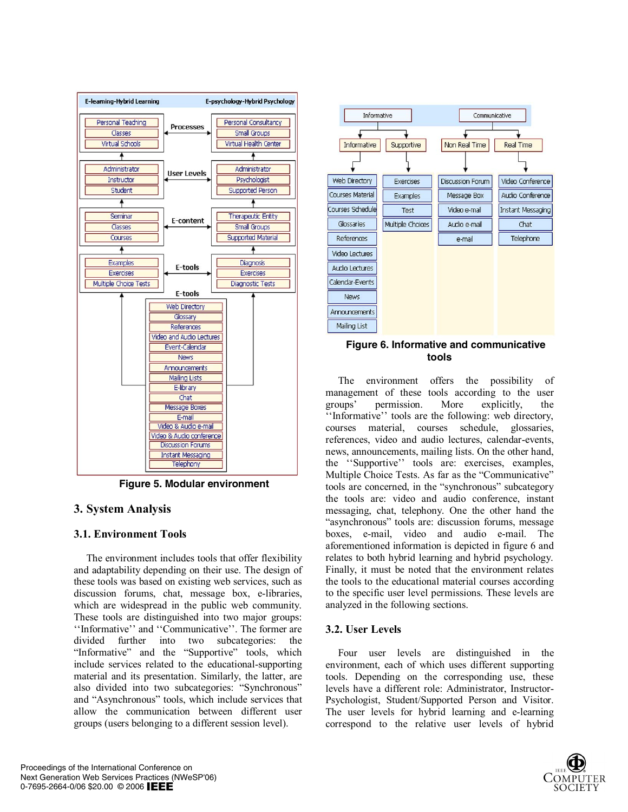

**Figure 5. Modular environment** 

# **3. System Analysis**

## **3.1. Environment Tools**

The environment includes tools that offer flexibility and adaptability depending on their use. The design of these tools was based on existing web services, such as discussion forums, chat, message box, e-libraries, which are widespread in the public web community. These tools are distinguished into two major groups: ''Informative'' and ''Communicative''. The former are divided further into two subcategories: the "Informative" and the "Supportive" tools, which include services related to the educational-supporting material and its presentation. Similarly, the latter, are also divided into two subcategories: "Synchronous" and "Asynchronous" tools, which include services that allow the communication between different user groups (users belonging to a different session level).



#### **Figure 6. Informative and communicative tools**

The environment offers the possibility of management of these tools according to the user groups' permission. More explicitly, the ''Informative'' tools are the following: web directory, courses material, courses schedule, glossaries, references, video and audio lectures, calendar-events, news, announcements, mailing lists. On the other hand, the ''Supportive'' tools are: exercises, examples, Multiple Choice Tests. As far as the "Communicative" tools are concerned, in the "synchronous" subcategory the tools are: video and audio conference, instant messaging, chat, telephony. One the other hand the "asynchronous" tools are: discussion forums, message boxes, e-mail, video and audio e-mail. The aforementioned information is depicted in figure 6 and relates to both hybrid learning and hybrid psychology. Finally, it must be noted that the environment relates the tools to the educational material courses according to the specific user level permissions. These levels are analyzed in the following sections.

## **3.2. User Levels**

Four user levels are distinguished in the environment, each of which uses different supporting tools. Depending on the corresponding use, these levels have a different role: Administrator, Instructor-Psychologist, Student/Supported Person and Visitor. The user levels for hybrid learning and e-learning correspond to the relative user levels of hybrid

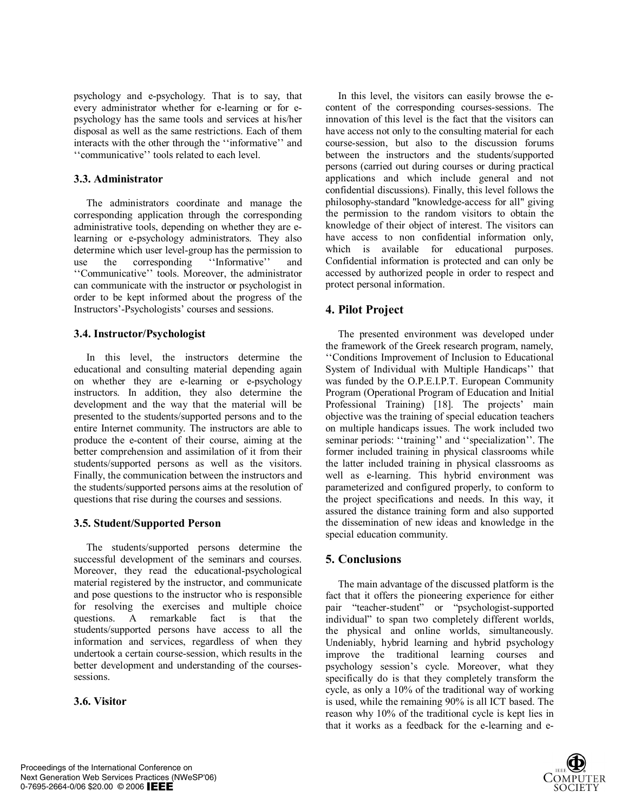psychology and e-psychology. That is to say, that every administrator whether for e-learning or for epsychology has the same tools and services at his/her disposal as well as the same restrictions. Each of them interacts with the other through the ''informative'' and ''communicative'' tools related to each level.

#### **3.3. Administrator**

The administrators coordinate and manage the corresponding application through the corresponding administrative tools, depending on whether they are elearning or e-psychology administrators. They also determine which user level-group has the permission to use the corresponding ''Informative'' and ''Communicative'' tools. Moreover, the administrator can communicate with the instructor or psychologist in order to be kept informed about the progress of the Instructors'-Psychologists' courses and sessions.

#### **3.4. Instructor/Psychologist**

In this level, the instructors determine the educational and consulting material depending again on whether they are e-learning or e-psychology instructors. In addition, they also determine the development and the way that the material will be presented to the students/supported persons and to the entire Internet community. The instructors are able to produce the e-content of their course, aiming at the better comprehension and assimilation of it from their students/supported persons as well as the visitors. Finally, the communication between the instructors and the students/supported persons aims at the resolution of questions that rise during the courses and sessions.

## **3.5. Student/Supported Person**

The students/supported persons determine the successful development of the seminars and courses. Moreover, they read the educational-psychological material registered by the instructor, and communicate and pose questions to the instructor who is responsible for resolving the exercises and multiple choice questions. A remarkable fact is that the students/supported persons have access to all the information and services, regardless of when they undertook a certain course-session, which results in the better development and understanding of the coursessessions.

## **3.6. Visitor**

In this level, the visitors can easily browse the econtent of the corresponding courses-sessions. The innovation of this level is the fact that the visitors can have access not only to the consulting material for each course-session, but also to the discussion forums between the instructors and the students/supported persons (carried out during courses or during practical applications and which include general and not confidential discussions). Finally, this level follows the philosophy-standard "knowledge-access for all" giving the permission to the random visitors to obtain the knowledge of their object of interest. The visitors can have access to non confidential information only, which is available for educational purposes. Confidential information is protected and can only be accessed by authorized people in order to respect and protect personal information.

# **4. Pilot Project**

The presented environment was developed under the framework of the Greek research program, namely, ''Conditions Improvement of Inclusion to Educational System of Individual with Multiple Handicaps'' that was funded by the O.P.E.I.P.T. European Community Program (Operational Program of Education and Initial Professional Training) [18]. The projects' main objective was the training of special education teachers on multiple handicaps issues. The work included two seminar periods: "training" and "specialization". The former included training in physical classrooms while the latter included training in physical classrooms as well as e-learning. This hybrid environment was parameterized and configured properly, to conform to the project specifications and needs. In this way, it assured the distance training form and also supported the dissemination of new ideas and knowledge in the special education community.

# **5. Conclusions**

The main advantage of the discussed platform is the fact that it offers the pioneering experience for either pair "teacher-student" or "psychologist-supported individual" to span two completely different worlds, the physical and online worlds, simultaneously. Undeniably, hybrid learning and hybrid psychology improve the traditional learning courses and psychology session's cycle. Moreover, what they specifically do is that they completely transform the cycle, as only a 10% of the traditional way of working is used, while the remaining 90% is all ICT based. The reason why 10% of the traditional cycle is kept lies in that it works as a feedback for the e-learning and e-